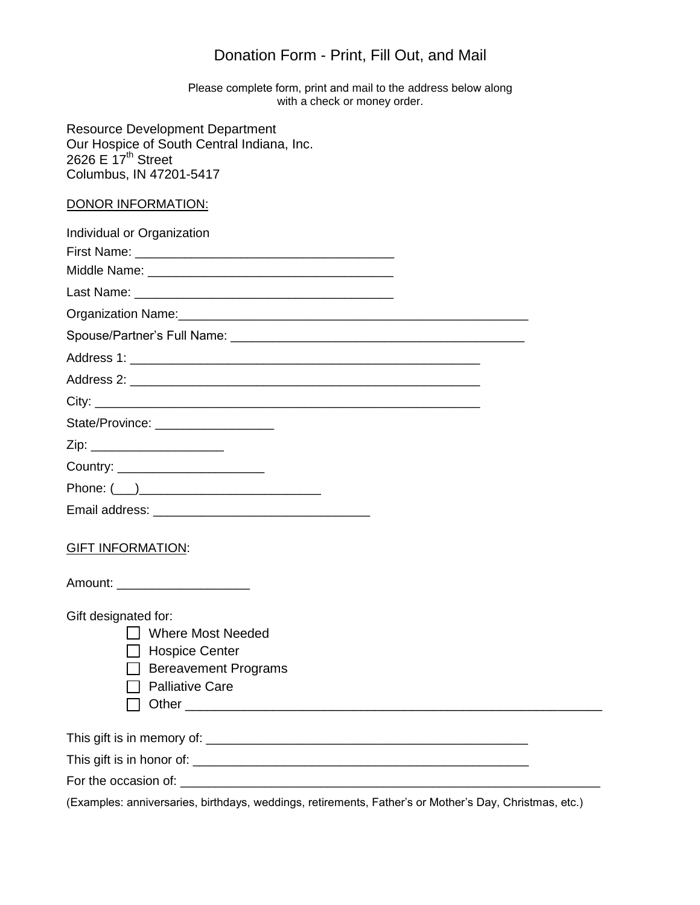## Donation Form - Print, Fill Out, and Mail

Please complete form, print and mail to the address below along with a check or money order.

Resource Development Department Our Hospice of South Central Indiana, Inc. 2626 E  $17<sup>th</sup>$  Street Columbus, IN 47201-5417

## DONOR INFORMATION:

| ייטו ואוירוט וויוו רוטיוטע.                                                                                              |
|--------------------------------------------------------------------------------------------------------------------------|
| Individual or Organization                                                                                               |
|                                                                                                                          |
|                                                                                                                          |
|                                                                                                                          |
|                                                                                                                          |
|                                                                                                                          |
|                                                                                                                          |
|                                                                                                                          |
|                                                                                                                          |
| State/Province: ____________________                                                                                     |
| Zip: ________________________                                                                                            |
| Country: _________________________                                                                                       |
|                                                                                                                          |
|                                                                                                                          |
| <b>GIFT INFORMATION:</b>                                                                                                 |
| Amount: _______________________                                                                                          |
| Gift designated for:<br>□ Where Most Needed<br>□ Hospice Center<br><b>Bereavement Programs</b><br><b>Palliative Care</b> |
|                                                                                                                          |
|                                                                                                                          |
|                                                                                                                          |
| (Examples: anniversaries, birthdays, weddings, retirements, Father's or Mother's Day, Christmas, etc.)                   |